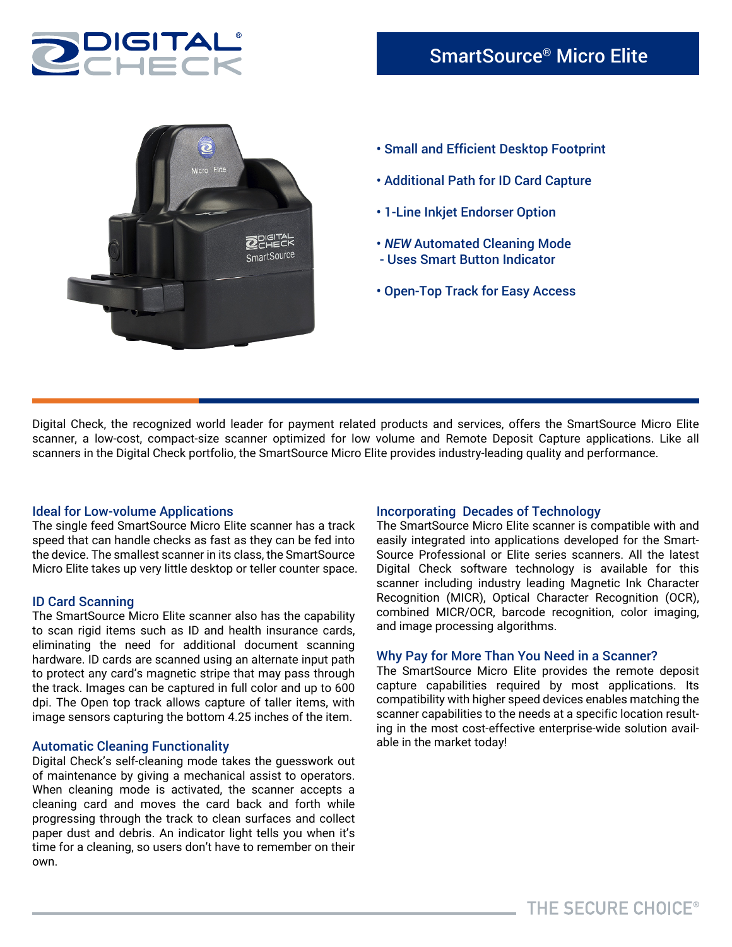





- Additional Path for ID Card Capture
- 1-Line Inkjet Endorser Option
- *NEW* Automated Cleaning Mode - Uses Smart Button Indicator
- Open-Top Track for Easy Access

Digital Check, the recognized world leader for payment related products and services, offers the SmartSource Micro Elite scanner, a low-cost, compact-size scanner optimized for low volume and Remote Deposit Capture applications. Like all scanners in the Digital Check portfolio, the SmartSource Micro Elite provides industry-leading quality and performance.

### Ideal for Low-volume Applications

The single feed SmartSource Micro Elite scanner has a track speed that can handle checks as fast as they can be fed into the device. The smallest scanner in its class, the SmartSource Micro Elite takes up very little desktop or teller counter space.

# ID Card Scanning

The SmartSource Micro Elite scanner also has the capability to scan rigid items such as ID and health insurance cards, eliminating the need for additional document scanning hardware. ID cards are scanned using an alternate input path to protect any card's magnetic stripe that may pass through the track. Images can be captured in full color and up to 600 dpi. The Open top track allows capture of taller items, with image sensors capturing the bottom 4.25 inches of the item.

# Automatic Cleaning Functionality

Digital Check's self-cleaning mode takes the guesswork out of maintenance by giving a mechanical assist to operators. When cleaning mode is activated, the scanner accepts a cleaning card and moves the card back and forth while progressing through the track to clean surfaces and collect paper dust and debris. An indicator light tells you when it's time for a cleaning, so users don't have to remember on their own.

# Incorporating Decades of Technology

The SmartSource Micro Elite scanner is compatible with and easily integrated into applications developed for the Smart-Source Professional or Elite series scanners. All the latest Digital Check software technology is available for this scanner including industry leading Magnetic Ink Character Recognition (MICR), Optical Character Recognition (OCR), combined MICR/OCR, barcode recognition, color imaging, and image processing algorithms.

### Why Pay for More Than You Need in a Scanner?

The SmartSource Micro Elite provides the remote deposit capture capabilities required by most applications. Its compatibility with higher speed devices enables matching the scanner capabilities to the needs at a specific location resulting in the most cost-effective enterprise-wide solution available in the market today!